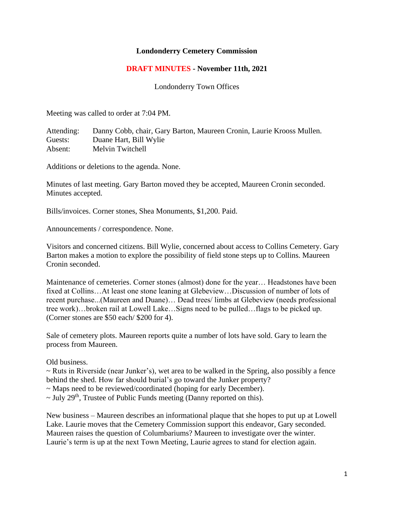## **Londonderry Cemetery Commission**

## **DRAFT MINUTES - November 11th, 2021**

Londonderry Town Offices

Meeting was called to order at 7:04 PM.

Attending: Danny Cobb, chair, Gary Barton, Maureen Cronin, Laurie Krooss Mullen. Guests: Duane Hart, Bill Wylie Absent: Melvin Twitchell

Additions or deletions to the agenda. None.

Minutes of last meeting. Gary Barton moved they be accepted, Maureen Cronin seconded. Minutes accepted.

Bills/invoices. Corner stones, Shea Monuments, \$1,200. Paid.

Announcements / correspondence. None.

Visitors and concerned citizens. Bill Wylie, concerned about access to Collins Cemetery. Gary Barton makes a motion to explore the possibility of field stone steps up to Collins. Maureen Cronin seconded.

Maintenance of cemeteries. Corner stones (almost) done for the year… Headstones have been fixed at Collins…At least one stone leaning at Glebeview…Discussion of number of lots of recent purchase...(Maureen and Duane)… Dead trees/ limbs at Glebeview (needs professional tree work)…broken rail at Lowell Lake…Signs need to be pulled…flags to be picked up. (Corner stones are \$50 each/ \$200 for 4).

Sale of cemetery plots. Maureen reports quite a number of lots have sold. Gary to learn the process from Maureen.

Old business.

 $\sim$  Ruts in Riverside (near Junker's), wet area to be walked in the Spring, also possibly a fence behind the shed. How far should burial's go toward the Junker property?

~ Maps need to be reviewed/coordinated (hoping for early December).

 $\sim$  July 29<sup>th</sup>, Trustee of Public Funds meeting (Danny reported on this).

New business – Maureen describes an informational plaque that she hopes to put up at Lowell Lake. Laurie moves that the Cemetery Commission support this endeavor, Gary seconded. Maureen raises the question of Columbariums? Maureen to investigate over the winter. Laurie's term is up at the next Town Meeting, Laurie agrees to stand for election again.